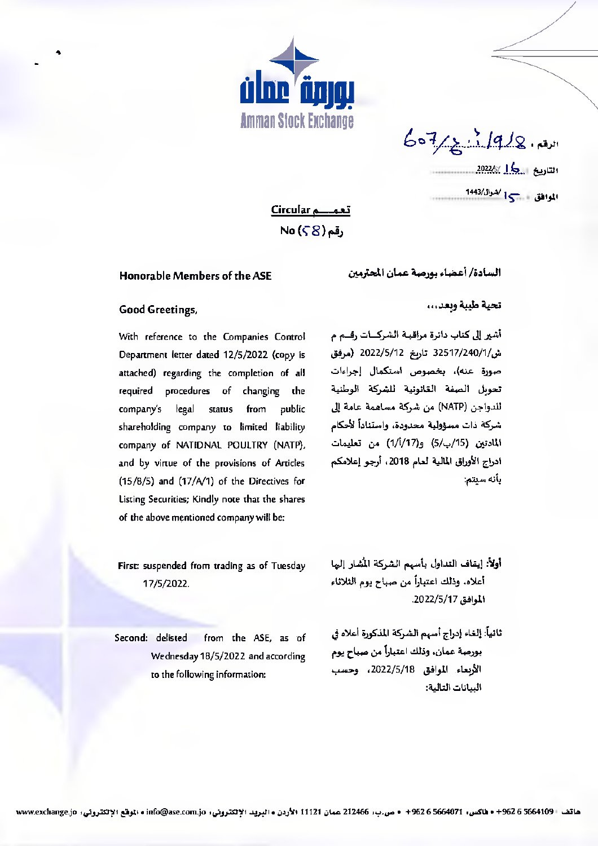

 $607/219/8.8$ الموافق 15

تعمــــم Circular No (58) وقم

## Honorable Members of the ASE

## تحية طيبة وبعد...

## **Good Greetings,**

With reference to the Companies Control Department letter dated 12/5/2022 (copy is attached) regarding the completion of all required procedures of changing the public company's legal status from shareholding company to limited liability company of NATIDNAL POULTRY (NATP), and by virtue of the provisions of Articles  $(15/8/5)$  and  $(17/4/1)$  of the Directives for Listing Securities; Kindly note that the shares of the above mentioned company will be:

أشير إلى كتاب دائرة مراقبة الشركسات رفسم م ش/1/240/1/ 32517 تارىخ 2022/5/12 (مرفق صورة عنه)، بخصوص استكمال إجراءات تحويل الصفة الغانونية للشركة الوطنية للدواجن (NATP) من شركة مساهمة عامة إلى شركة ذات مسؤولية محدودة، واستناداً لأحكام المادتين (15/ب/5) و(1/أ/17) من تعليمات ادراج الأوراق المالية لعام 2018، أرجو إعلامكم بأنه سيتم:

السادة/ أعضاء بورصة عمان المحترمين

- First: suspended from trading as of Tuesday 17/5/2022.
- Second: delisted from the ASE, as of Wednesday 18/5/2022 and according to the following information:
- أولاً: إيقاف التداول بأسهم الشركة المُشار إليها أعلاه. وذلك اعتباراً من صباح يوم الثلاثاء الموافق 2022/5/17.
- ثانياً: إلغاء إدراج أسهم الشركة المذكورة أعلاه في بورصة عمان، وذلك اعتباراً من صباح يوم الأربعاء الموافق 2022/5/18، وحسب السانات التالية: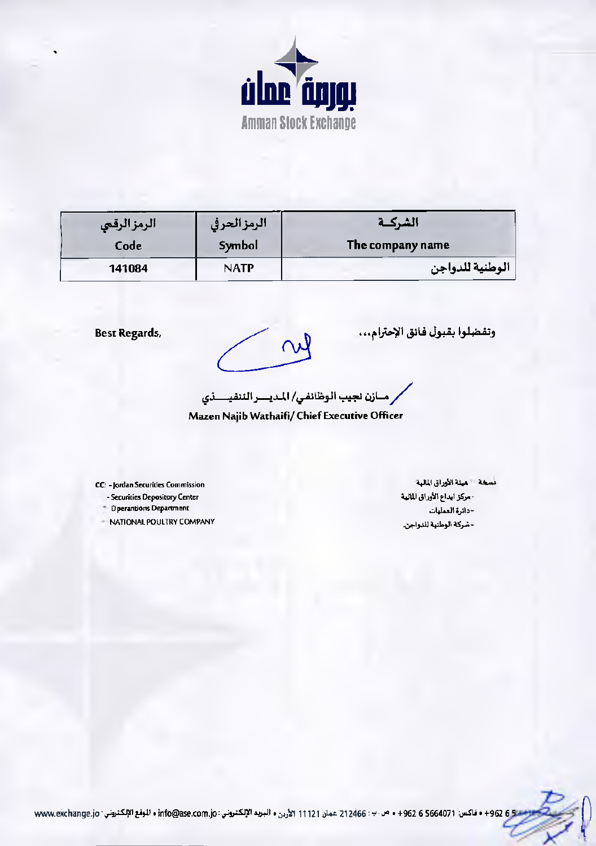

| الرمزالرقعي | الرمزالحرفي | الشركــة         |
|-------------|-------------|------------------|
| Code        | Symbol      | The company name |
| 141084      | <b>NATP</b> | الوطنية للدواجن  |

**Best Regards,** 

 $\infty$ 

وتفضلوا بقبول فانق الإحترام...

.<br>رمــازن نجيب الوظائفي/ المديــــر الننفيــــذي

Mazen Najib Wathaifi/ Chief Executive Officer

CC: - Jordan Securities Commission - Securities Depository Center

- Dperantions Department
- NATIONAL POULTRY COMPANY

مسخة = هيئة الأوراق المالية - مركز ايداع الأوراق المالية - دائرة العمليات - شركة الوطنية للدواجن.